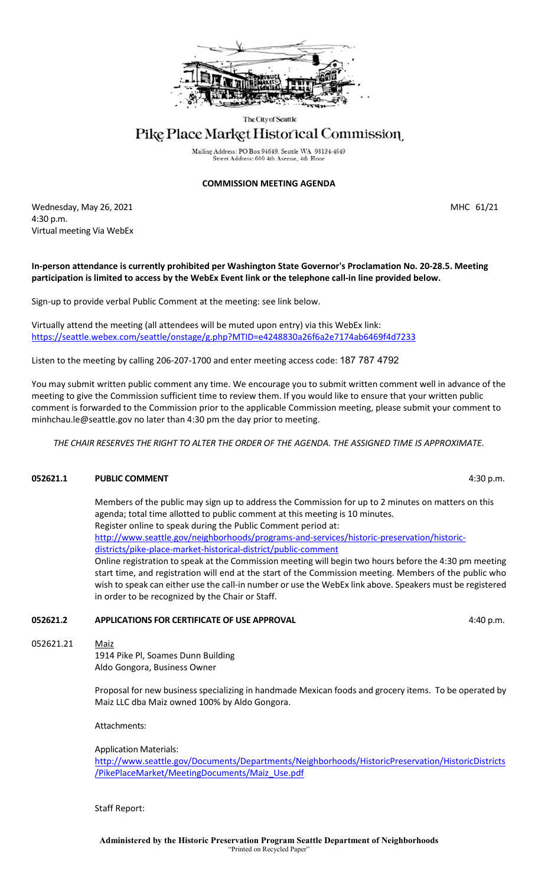

The City of Seattle

# Pike Place Market Historical Commission

Mailing Address: PO Box 94649, Seattle WA 98124-4649 Street Address: 600 4th Avenue, 4th Floo

#### **COMMISSION MEETING AGENDA**

Wednesday, May 26, 2021 2008 12:30 12:30 12:30 12:30 12:30 12:31 12:32 12:33 12:34 12:32 12:32 12:32 12:32 12:32 4:30 p.m. Virtual meeting Via WebEx

#### **In-person attendance is currently prohibited per Washington State Governor's Proclamation No. 20-28.5. Meeting participation is limited to access by the WebEx Event link or the telephone call-in line provided below.**

Sign-up to provide verbal Public Comment at the meeting: see link below.

Virtually attend the meeting (all attendees will be muted upon entry) via this WebEx link: <https://seattle.webex.com/seattle/onstage/g.php?MTID=e4248830a26f6a2e7174ab6469f4d7233>

Listen to the meeting by calling 206-207-1700 and enter meeting access code: 187 787 4792

You may submit written public comment any time. We encourage you to submit written comment well in advance of the meeting to give the Commission sufficient time to review them. If you would like to ensure that your written public comment is forwarded to the Commission prior to the applicable Commission meeting, please submit your comment to minhchau.le@seattle.gov no later than 4:30 pm the day prior to meeting.

*THE CHAIR RESERVES THE RIGHT TO ALTER THE ORDER OF THE AGENDA. THE ASSIGNED TIME IS APPROXIMATE.*

### **052621.1 PUBLIC COMMENT All and SOLUTION COMMENT 1.30 p.m. 4:30 p.m.**

Members of the public may sign up to address the Commission for up to 2 minutes on matters on this agenda; total time allotted to public comment at this meeting is 10 minutes. Register online to speak during the Public Comment period at: [http://www.seattle.gov/neighborhoods/programs-and-services/historic-preservation/historic](http://www.seattle.gov/neighborhoods/programs-and-services/historic-preservation/historic-districts/pike-place-market-historical-district/public-comment)[districts/pike-place-market-historical-district/public-comment](http://www.seattle.gov/neighborhoods/programs-and-services/historic-preservation/historic-districts/pike-place-market-historical-district/public-comment) Online registration to speak at the Commission meeting will begin two hours before the 4:30 pm meeting start time, and registration will end at the start of the Commission meeting. Members of the public who

wish to speak can either use the call-in number or use the WebEx link above. Speakers must be registered

## **052621.2 APPLICATIONS FOR CERTIFICATE OF USE APPROVAL ACCOUNTING A 4:40 p.m.**

in order to be recognized by the Chair or Staff.

052621.21 Maiz

1914 Pike Pl, Soames Dunn Building Aldo Gongora, Business Owner

Proposal for new business specializing in handmade Mexican foods and grocery items. To be operated by Maiz LLC dba Maiz owned 100% by Aldo Gongora.

Attachments:

Application Materials:

[http://www.seattle.gov/Documents/Departments/Neighborhoods/HistoricPreservation/HistoricDistricts](http://www.seattle.gov/Documents/Departments/Neighborhoods/HistoricPreservation/HistoricDistricts/PikePlaceMarket/MeetingDocuments/Maiz_Use.pdf) [/PikePlaceMarket/MeetingDocuments/Maiz\\_Use.pdf](http://www.seattle.gov/Documents/Departments/Neighborhoods/HistoricPreservation/HistoricDistricts/PikePlaceMarket/MeetingDocuments/Maiz_Use.pdf)

Staff Report: